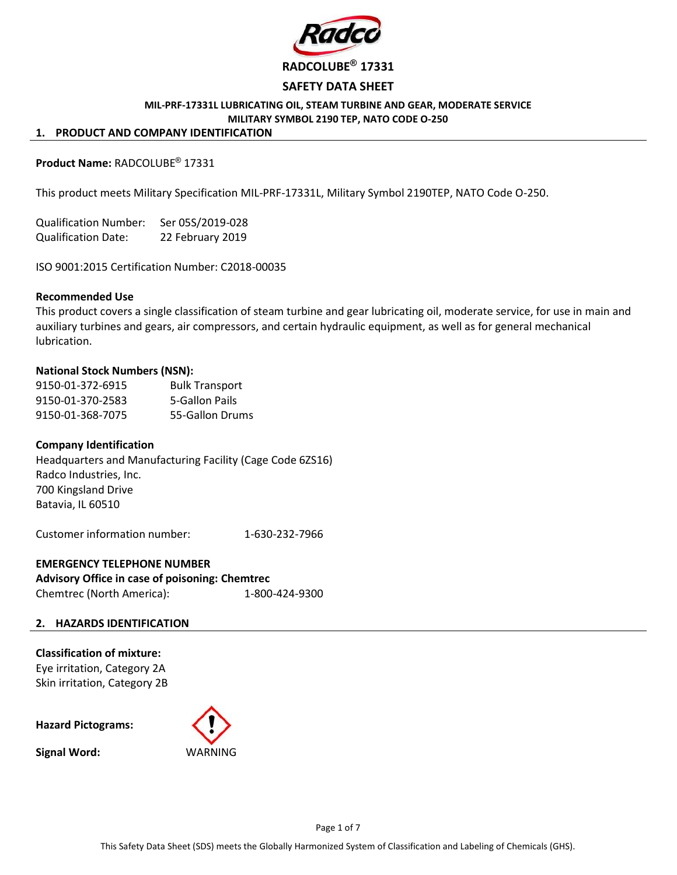

### SAFETY DATA SHEET

#### MIL-PRF-17331L LUBRICATING OIL, STEAM TURBINE AND GEAR, MODERATE SERVICE MILITARY SYMBOL 2190 TEP, NATO CODE O-250

#### 1. PRODUCT AND COMPANY IDENTIFICATION

# Product Name: RADCOLUBE® 17331

This product meets Military Specification MIL-PRF-17331L, Military Symbol 2190TEP, NATO Code O-250.

Qualification Number: Ser 05S/2019-028 Qualification Date: 22 February 2019

ISO 9001:2015 Certification Number: C2018-00035

#### Recommended Use

This product covers a single classification of steam turbine and gear lubricating oil, moderate service, for use in main and auxiliary turbines and gears, air compressors, and certain hydraulic equipment, as well as for general mechanical lubrication.

### National Stock Numbers (NSN):

9150-01-372-6915 Bulk Transport 9150-01-370-2583 5-Gallon Pails 9150-01-368-7075 55-Gallon Drums

### Company Identification

Headquarters and Manufacturing Facility (Cage Code 6ZS16) Radco Industries, Inc. 700 Kingsland Drive Batavia, IL 60510

Customer information number: 1-630-232-7966

# EMERGENCY TELEPHONE NUMBER Advisory Office in case of poisoning: Chemtrec Chemtrec (North America): 1-800-424-9300

### 2. HAZARDS IDENTIFICATION

Classification of mixture: Eye irritation, Category 2A Skin irritation, Category 2B

Hazard Pictograms:

Signal Word:

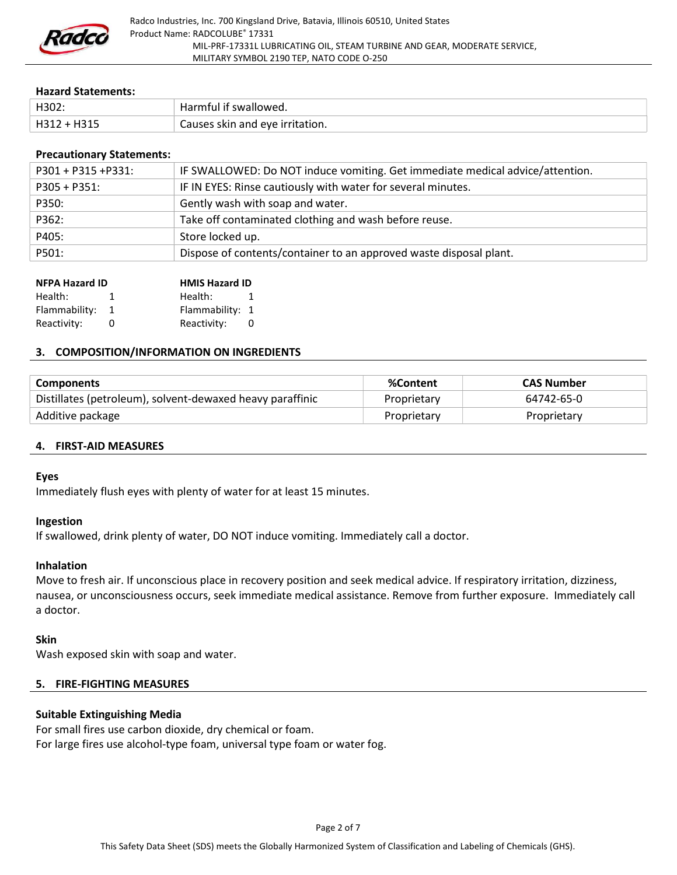

#### Hazard Statements:

| H302:       | <sup>1</sup> Harmful if swallowed. |
|-------------|------------------------------------|
| H312 + H315 | Causes skin and eye irritation.    |

### Precautionary Statements:

| $P301 + P315 + P331$ : | IF SWALLOWED: Do NOT induce vomiting. Get immediate medical advice/attention. |
|------------------------|-------------------------------------------------------------------------------|
| $P305 + P351$ :        | IF IN EYES: Rinse cautiously with water for several minutes.                  |
| P350:                  | Gently wash with soap and water.                                              |
| P362:                  | Take off contaminated clothing and wash before reuse.                         |
| P405:                  | Store locked up.                                                              |
| P501:                  | Dispose of contents/container to an approved waste disposal plant.            |
|                        |                                                                               |

| <b>NFPA Hazard ID</b> |    | <b>HMIS Hazard ID</b> |   |  |
|-----------------------|----|-----------------------|---|--|
| Health:               | Ъ. | Health:               | 1 |  |
| Flammability: 1       |    | Flammability: 1       |   |  |
| Reactivity:           |    | Reactivity:           | n |  |

### 3. COMPOSITION/INFORMATION ON INGREDIENTS

| <b>Components</b>                                         | %Content    | CAS Number  |
|-----------------------------------------------------------|-------------|-------------|
| Distillates (petroleum), solvent-dewaxed heavy paraffinic | Proprietary | 64742-65-0  |
| Additive package                                          | Proprietary | Proprietary |

### 4. FIRST-AID MEASURES

### Eyes

Immediately flush eyes with plenty of water for at least 15 minutes.

### Ingestion

If swallowed, drink plenty of water, DO NOT induce vomiting. Immediately call a doctor.

# Inhalation

Move to fresh air. If unconscious place in recovery position and seek medical advice. If respiratory irritation, dizziness, nausea, or unconsciousness occurs, seek immediate medical assistance. Remove from further exposure. Immediately call a doctor.

### Skin

Wash exposed skin with soap and water.

# 5. FIRE-FIGHTING MEASURES

# Suitable Extinguishing Media

For small fires use carbon dioxide, dry chemical or foam. For large fires use alcohol-type foam, universal type foam or water fog.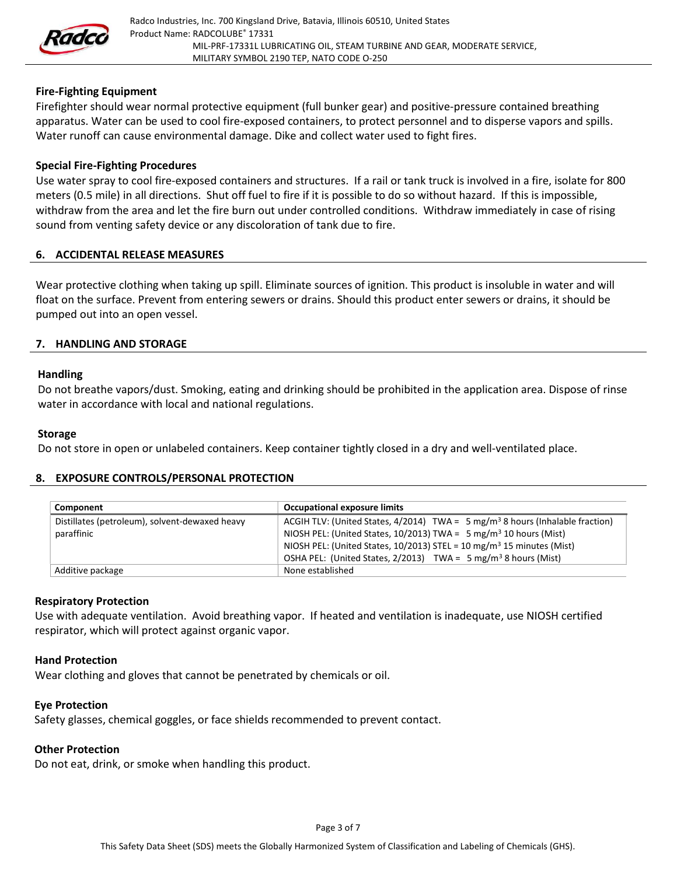

# Fire-Fighting Equipment

Firefighter should wear normal protective equipment (full bunker gear) and positive-pressure contained breathing apparatus. Water can be used to cool fire-exposed containers, to protect personnel and to disperse vapors and spills. Water runoff can cause environmental damage. Dike and collect water used to fight fires.

### Special Fire-Fighting Procedures

Use water spray to cool fire-exposed containers and structures. If a rail or tank truck is involved in a fire, isolate for 800 meters (0.5 mile) in all directions. Shut off fuel to fire if it is possible to do so without hazard. If this is impossible, withdraw from the area and let the fire burn out under controlled conditions. Withdraw immediately in case of rising sound from venting safety device or any discoloration of tank due to fire.

### 6. ACCIDENTAL RELEASE MEASURES

Wear protective clothing when taking up spill. Eliminate sources of ignition. This product is insoluble in water and will float on the surface. Prevent from entering sewers or drains. Should this product enter sewers or drains, it should be pumped out into an open vessel.

### 7. HANDLING AND STORAGE

### Handling

Do not breathe vapors/dust. Smoking, eating and drinking should be prohibited in the application area. Dispose of rinse water in accordance with local and national regulations.

#### Storage

Do not store in open or unlabeled containers. Keep container tightly closed in a dry and well-ventilated place.

### 8. EXPOSURE CONTROLS/PERSONAL PROTECTION

| Component                                                    | <b>Occupational exposure limits</b>                                                                                                                                                                                                                            |
|--------------------------------------------------------------|----------------------------------------------------------------------------------------------------------------------------------------------------------------------------------------------------------------------------------------------------------------|
| Distillates (petroleum), solvent-dewaxed heavy<br>paraffinic | ACGIH TLV: (United States, 4/2014) TWA = $5 \text{ mg/m}^3$ 8 hours (Inhalable fraction)<br>NIOSH PEL: (United States, 10/2013) TWA = 5 mg/m <sup>3</sup> 10 hours (Mist)<br>NIOSH PEL: (United States, 10/2013) STEL = 10 mg/m <sup>3</sup> 15 minutes (Mist) |
|                                                              | OSHA PEL: (United States, $2/2013$ ) TWA = 5 mg/m <sup>3</sup> 8 hours (Mist)                                                                                                                                                                                  |
| Additive package                                             | None established                                                                                                                                                                                                                                               |

# Respiratory Protection

Use with adequate ventilation. Avoid breathing vapor. If heated and ventilation is inadequate, use NIOSH certified respirator, which will protect against organic vapor.

### Hand Protection

Wear clothing and gloves that cannot be penetrated by chemicals or oil.

# Eye Protection

Safety glasses, chemical goggles, or face shields recommended to prevent contact.

# Other Protection

Do not eat, drink, or smoke when handling this product.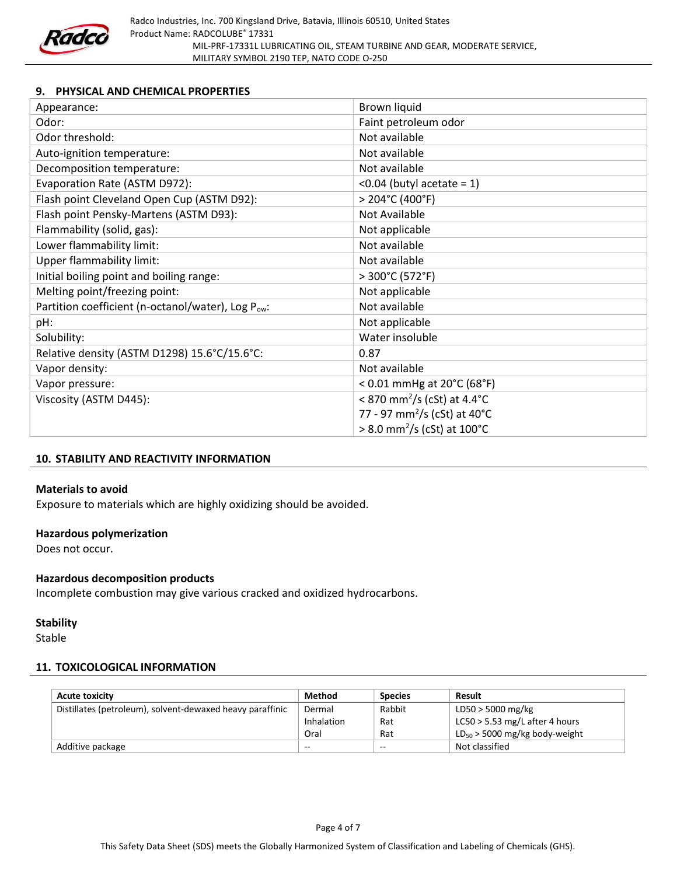

# 9. PHYSICAL AND CHEMICAL PROPERTIES

| Appearance:                                                    | Brown liquid                                       |
|----------------------------------------------------------------|----------------------------------------------------|
| Odor:                                                          | Faint petroleum odor                               |
| Odor threshold:                                                | Not available                                      |
| Auto-ignition temperature:                                     | Not available                                      |
| Decomposition temperature:                                     | Not available                                      |
| Evaporation Rate (ASTM D972):                                  | < $0.04$ (butyl acetate = 1)                       |
| Flash point Cleveland Open Cup (ASTM D92):                     | $>$ 204°C (400°F)                                  |
| Flash point Pensky-Martens (ASTM D93):                         | Not Available                                      |
| Flammability (solid, gas):                                     | Not applicable                                     |
| Lower flammability limit:                                      | Not available                                      |
| <b>Upper flammability limit:</b>                               | Not available                                      |
| Initial boiling point and boiling range:                       | > 300°C (572°F)                                    |
| Melting point/freezing point:                                  | Not applicable                                     |
| Partition coefficient (n-octanol/water), Log P <sub>ow</sub> : | Not available                                      |
| pH:                                                            | Not applicable                                     |
| Solubility:                                                    | Water insoluble                                    |
| Relative density (ASTM D1298) 15.6°C/15.6°C:                   | 0.87                                               |
| Vapor density:                                                 | Not available                                      |
| Vapor pressure:                                                | < $0.01$ mmHg at $20^{\circ}$ C (68 $^{\circ}$ F)  |
| Viscosity (ASTM D445):                                         | < 870 mm <sup>2</sup> /s (cSt) at 4.4 $^{\circ}$ C |
|                                                                | 77 - 97 mm <sup>2</sup> /s (cSt) at 40°C           |
|                                                                | $> 8.0$ mm <sup>2</sup> /s (cSt) at 100°C          |

# 10. STABILITY AND REACTIVITY INFORMATION

### Materials to avoid

Exposure to materials which are highly oxidizing should be avoided.

### Hazardous polymerization

Does not occur.

# Hazardous decomposition products

Incomplete combustion may give various cracked and oxidized hydrocarbons.

# **Stability**

Stable

# 11. TOXICOLOGICAL INFORMATION

| <b>Acute toxicity</b>                                     | Method     | <b>Species</b> | Result                             |
|-----------------------------------------------------------|------------|----------------|------------------------------------|
| Distillates (petroleum), solvent-dewaxed heavy paraffinic | Dermal     | Rabbit         | LD50 > 5000 mg/kg                  |
|                                                           | Inhalation | Rat            | $LC50 > 5.53$ mg/L after 4 hours   |
|                                                           | Oral       | Rat            | $LD_{50}$ > 5000 mg/kg body-weight |
| Additive package                                          | $- -$      | --             | Not classified                     |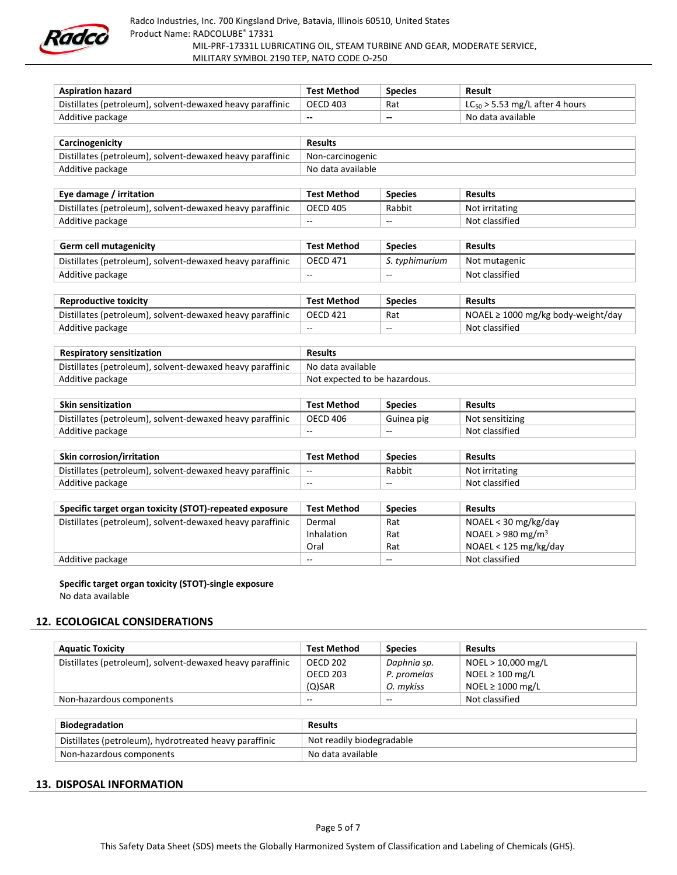

Radco Industries, Inc. 700 Kingsland Drive, Batavia, Illinois 60510, United States Product Name: RADCOLUBE® 17331 MIL-PRF-17331L LUBRICATING OIL, STEAM TURBINE AND GEAR, MODERATE SERVICE, MILITARY SYMBOL 2190 TEP, NATO CODE O-250

| <b>Aspiration hazard</b>                                  | <b>Test Method</b> | <b>Species</b> | Result                              |  |  |
|-----------------------------------------------------------|--------------------|----------------|-------------------------------------|--|--|
| Distillates (petroleum), solvent-dewaxed heavy paraffinic | <b>OECD 403</b>    | Rat            | $LC_{50}$ > 5.53 mg/L after 4 hours |  |  |
| Additive package                                          | --                 | --             | No data available                   |  |  |
|                                                           |                    |                |                                     |  |  |
| Carcinogenicity                                           | <b>Results</b>     |                |                                     |  |  |
| Distillates (petroleum), solvent-dewaxed heavy paraffinic | Non-carcinogenic   |                |                                     |  |  |
| Additive package                                          | No data available  |                |                                     |  |  |
|                                                           |                    |                |                                     |  |  |
| Eye damage / irritation                                   | <b>Test Method</b> | <b>Species</b> | <b>Results</b>                      |  |  |
| Distillates (petroleum), solvent-dewaxed heavy paraffinic | <b>OECD 405</b>    | Rabbit         | Not irritating                      |  |  |
| Additive package                                          | --                 | --             | Not classified                      |  |  |

| <b>Germ cell mutagenicity</b>                             | <b>Test Method</b> | <b>Species</b> | <b>Results</b> |
|-----------------------------------------------------------|--------------------|----------------|----------------|
| Distillates (petroleum), solvent-dewaxed heavy paraffinic | OECD 471           | S. typhimurium | Not mutagenic  |
| Additive package                                          | $- -$              | $- -$          | Not classified |

| Reproductive toxicity                                     | <b>Test Method</b> | Species | <b>Results</b>                          |
|-----------------------------------------------------------|--------------------|---------|-----------------------------------------|
| Distillates (petroleum), solvent-dewaxed heavy paraffinic | OECD 421           | Rat     | NOAEL $\geq 1000$ mg/kg body-weight/day |
| Additive package                                          | $- -$              | $- -$   | Not classified                          |

| <b>Respiratory sensitization</b>                          | <b>Results</b>                |
|-----------------------------------------------------------|-------------------------------|
| Distillates (petroleum), solvent-dewaxed heavy paraffinic | No data available             |
| Additive package                                          | Not expected to be hazardous. |

| <b>Skin sensitization</b>                                 | <b>Test Method</b> | <b>Species</b> | <b>Results</b>  |
|-----------------------------------------------------------|--------------------|----------------|-----------------|
| Distillates (petroleum), solvent-dewaxed heavy paraffinic | <b>OECD 406</b>    | Guinea pig     | Not sensitizing |
| Additive package                                          | $- -$              | $- -$          | Not classified  |

| <b>Skin corrosion/irritation</b>                          | Test Method | <b>Species</b> | <b>Results</b> |
|-----------------------------------------------------------|-------------|----------------|----------------|
| Distillates (petroleum), solvent-dewaxed heavy paraffinic | $- -$       | Rabbit         | Not irritating |
| Additive package                                          | --          | $- -$          | Not classified |

| Specific target organ toxicity (STOT)-repeated exposure   | <b>Test Method</b> | <b>Species</b> | <b>Results</b>                |
|-----------------------------------------------------------|--------------------|----------------|-------------------------------|
| Distillates (petroleum), solvent-dewaxed heavy paraffinic | Dermal             | Rat            | NOAEL < 30 mg/kg/day          |
|                                                           | Inhalation         | Rat            | NOAEL > 980 mg/m <sup>3</sup> |
|                                                           | Oral               | Rat            | NOAEL < 125 mg/kg/day         |
| Additive package                                          | $- -$              | $- -$          | Not classified                |

Specific target organ toxicity (STOT)-single exposure No data available

# 12. ECOLOGICAL CONSIDERATIONS

| <b>Aquatic Toxicity</b>                                   | <b>Test Method</b> | <b>Species</b> | <b>Results</b>        |
|-----------------------------------------------------------|--------------------|----------------|-----------------------|
| Distillates (petroleum), solvent-dewaxed heavy paraffinic | OECD 202           | Daphnia sp.    | NOEL > 10,000 mg/L    |
|                                                           | <b>OECD 203</b>    | P. promelas    | NOEL $\geq 100$ mg/L  |
|                                                           | $(Q)$ SAR          | O. mvkiss      | NOEL $\geq 1000$ mg/L |
| Non-hazardous components                                  | $- -$              | $- -$          | Not classified        |

| <b>Biodegradation</b>                                  | <b>Results</b>            |
|--------------------------------------------------------|---------------------------|
| Distillates (petroleum), hydrotreated heavy paraffinic | Not readily biodegradable |
| Non-hazardous components                               | No data available         |

### 13. DISPOSAL INFORMATION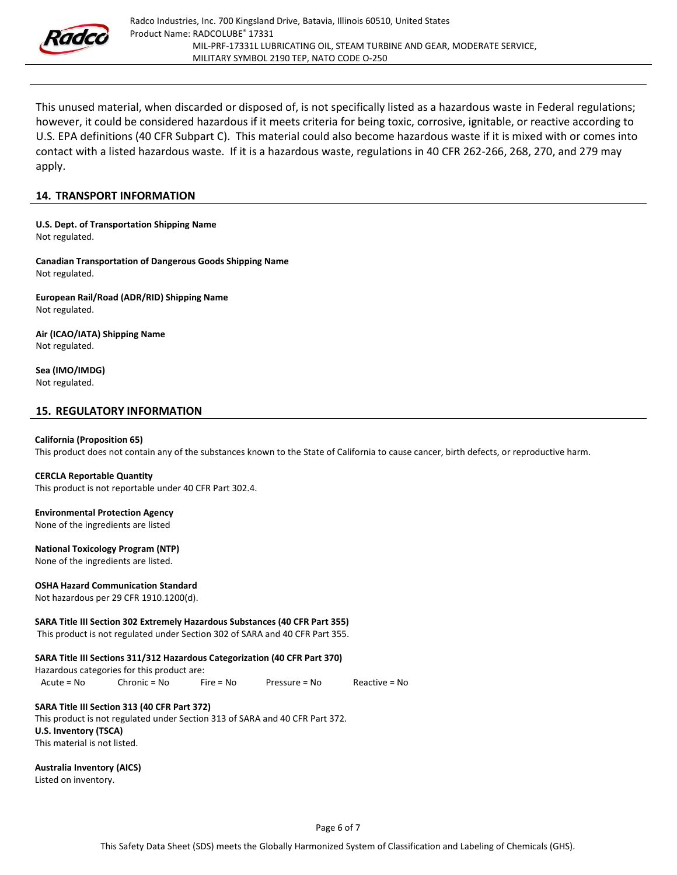

This unused material, when discarded or disposed of, is not specifically listed as a hazardous waste in Federal regulations; however, it could be considered hazardous if it meets criteria for being toxic, corrosive, ignitable, or reactive according to U.S. EPA definitions (40 CFR Subpart C). This material could also become hazardous waste if it is mixed with or comes into contact with a listed hazardous waste. If it is a hazardous waste, regulations in 40 CFR 262-266, 268, 270, and 279 may apply.

#### 14. TRANSPORT INFORMATION

U.S. Dept. of Transportation Shipping Name Not regulated.

Canadian Transportation of Dangerous Goods Shipping Name Not regulated.

European Rail/Road (ADR/RID) Shipping Name Not regulated.

Air (ICAO/IATA) Shipping Name Not regulated.

Sea (IMO/IMDG) Not regulated.

#### 15. REGULATORY INFORMATION

#### California (Proposition 65)

This product does not contain any of the substances known to the State of California to cause cancer, birth defects, or reproductive harm.

#### CERCLA Reportable Quantity

This product is not reportable under 40 CFR Part 302.4.

# Environmental Protection Agency

None of the ingredients are listed

#### National Toxicology Program (NTP)

None of the ingredients are listed.

#### OSHA Hazard Communication Standard

Not hazardous per 29 CFR 1910.1200(d).

#### SARA Title III Section 302 Extremely Hazardous Substances (40 CFR Part 355)

This product is not regulated under Section 302 of SARA and 40 CFR Part 355.

### SARA Title III Sections 311/312 Hazardous Categorization (40 CFR Part 370)

Hazardous categories for this product are:

Acute = No Chronic = No Fire = No Pressure = No Reactive = No

### SARA Title III Section 313 (40 CFR Part 372)

This product is not regulated under Section 313 of SARA and 40 CFR Part 372. U.S. Inventory (TSCA) This material is not listed.

Australia Inventory (AICS)

Listed on inventory.